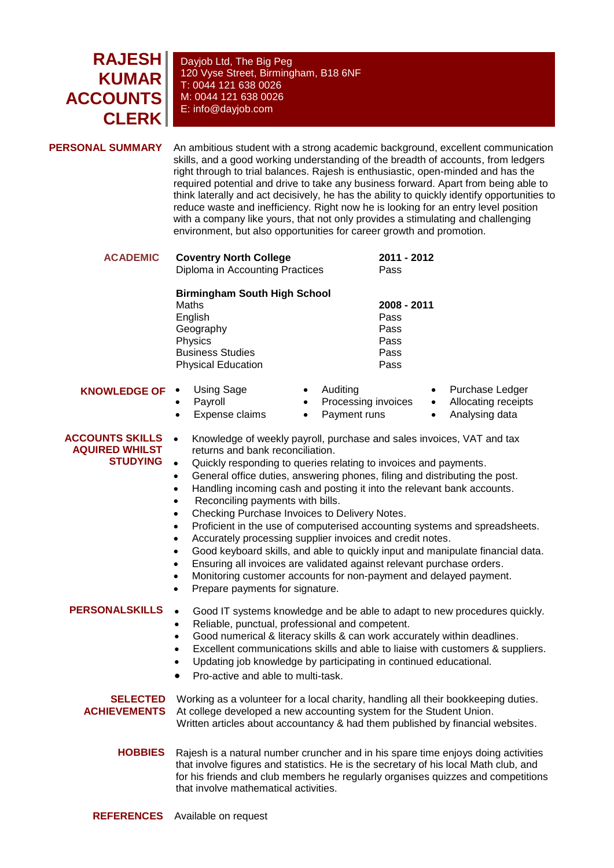## **RAJESH KUMAR ACCOUNTS CLERK**

Dayjob Ltd, The Big Peg 120 Vyse Street, Birmingham, B18 6NF T: 0044 121 638 0026 M: 0044 121 638 0026 E: info@dayjob.com

**PERSONAL SUMMARY** An ambitious student with a strong academic background, excellent communication skills, and a good working understanding of the breadth of accounts, from ledgers right through to trial balances. Rajesh is enthusiastic, open-minded and has the required potential and drive to take any business forward. Apart from being able to think laterally and act decisively, he has the ability to quickly identify opportunities to reduce waste and inefficiency. Right now he is looking for an entry level position with a company like yours, that not only provides a stimulating and challenging environment, but also opportunities for career growth and promotion.

| <b>ACADEMIC</b>                                                    | <b>Coventry North College</b><br>Diploma in Accounting Practices                                                                                                                                                                                                                                                                                                                                                                                                                                                                                                                                                                                                                                                                                                                                                                                                                                                                                                                             | 2011 - 2012<br>Pass                                                                |
|--------------------------------------------------------------------|----------------------------------------------------------------------------------------------------------------------------------------------------------------------------------------------------------------------------------------------------------------------------------------------------------------------------------------------------------------------------------------------------------------------------------------------------------------------------------------------------------------------------------------------------------------------------------------------------------------------------------------------------------------------------------------------------------------------------------------------------------------------------------------------------------------------------------------------------------------------------------------------------------------------------------------------------------------------------------------------|------------------------------------------------------------------------------------|
|                                                                    | <b>Birmingham South High School</b><br>Maths<br>English<br>Geography<br>Physics<br><b>Business Studies</b><br><b>Physical Education</b>                                                                                                                                                                                                                                                                                                                                                                                                                                                                                                                                                                                                                                                                                                                                                                                                                                                      | 2008 - 2011<br>Pass<br>Pass<br>Pass<br>Pass<br>Pass                                |
| <b>KNOWLEDGE OF</b>                                                | <b>Using Sage</b><br>Auditing<br>Processing invoices<br>Payroll<br>$\bullet$<br>Expense claims<br>Payment runs<br>$\bullet$<br>$\bullet$                                                                                                                                                                                                                                                                                                                                                                                                                                                                                                                                                                                                                                                                                                                                                                                                                                                     | Purchase Ledger<br>Allocating receipts<br>$\bullet$<br>Analysing data<br>$\bullet$ |
| <b>ACCOUNTS SKILLS</b><br><b>AQUIRED WHILST</b><br><b>STUDYING</b> | Knowledge of weekly payroll, purchase and sales invoices, VAT and tax<br>$\bullet$<br>returns and bank reconciliation.<br>Quickly responding to queries relating to invoices and payments.<br>$\bullet$<br>General office duties, answering phones, filing and distributing the post.<br>$\bullet$<br>Handling incoming cash and posting it into the relevant bank accounts.<br>$\bullet$<br>Reconciling payments with bills.<br>$\bullet$<br>Checking Purchase Invoices to Delivery Notes.<br>$\bullet$<br>Proficient in the use of computerised accounting systems and spreadsheets.<br>$\bullet$<br>Accurately processing supplier invoices and credit notes.<br>$\bullet$<br>Good keyboard skills, and able to quickly input and manipulate financial data.<br>$\bullet$<br>Ensuring all invoices are validated against relevant purchase orders.<br>٠<br>Monitoring customer accounts for non-payment and delayed payment.<br>$\bullet$<br>Prepare payments for signature.<br>$\bullet$ |                                                                                    |
| <b>PERSONALSKILLS</b>                                              | $\bullet$<br>Good IT systems knowledge and be able to adapt to new procedures quickly.<br>Reliable, punctual, professional and competent.<br>$\bullet$<br>Good numerical & literacy skills & can work accurately within deadlines.<br>$\bullet$<br>Excellent communications skills and able to liaise with customers & suppliers.<br>٠<br>Updating job knowledge by participating in continued educational.<br>Pro-active and able to multi-task.                                                                                                                                                                                                                                                                                                                                                                                                                                                                                                                                            |                                                                                    |
| <b>SELECTED</b><br><b>ACHIEVEMENTS</b>                             | Working as a volunteer for a local charity, handling all their bookkeeping duties.<br>At college developed a new accounting system for the Student Union.<br>Written articles about accountancy & had them published by financial websites.                                                                                                                                                                                                                                                                                                                                                                                                                                                                                                                                                                                                                                                                                                                                                  |                                                                                    |
| <b>HOBBIES</b>                                                     | Rajesh is a natural number cruncher and in his spare time enjoys doing activities<br>that involve figures and statistics. He is the secretary of his local Math club, and<br>for his friends and club members he regularly organises quizzes and competitions                                                                                                                                                                                                                                                                                                                                                                                                                                                                                                                                                                                                                                                                                                                                |                                                                                    |

that involve mathematical activities.